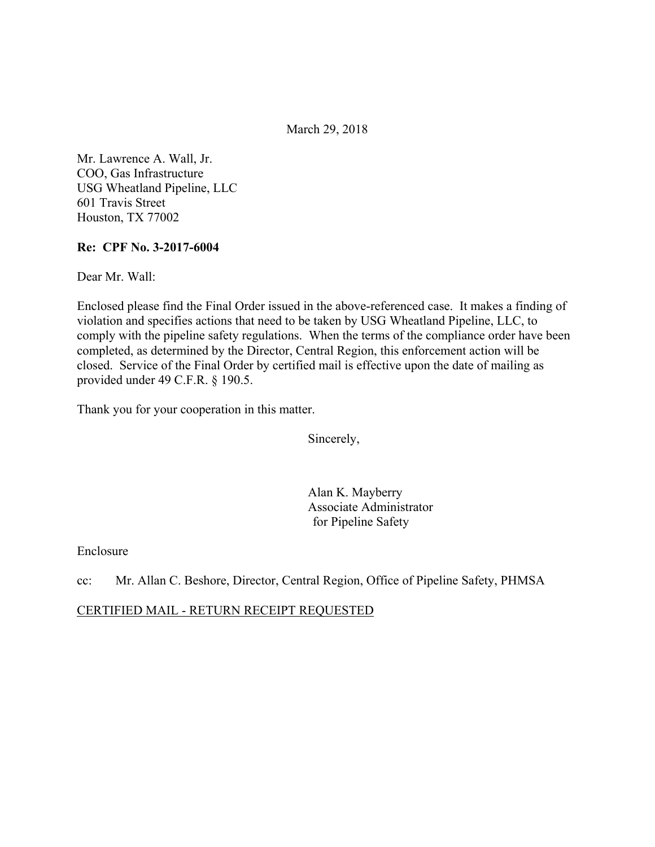March 29, 2018

Mr. Lawrence A. Wall, Jr. COO, Gas Infrastructure USG Wheatland Pipeline, LLC 601 Travis Street Houston, TX 77002

#### **Re: CPF No. 3-2017-6004**

Dear Mr. Wall:

Enclosed please find the Final Order issued in the above-referenced case. It makes a finding of violation and specifies actions that need to be taken by USG Wheatland Pipeline, LLC, to comply with the pipeline safety regulations. When the terms of the compliance order have been completed, as determined by the Director, Central Region, this enforcement action will be closed. Service of the Final Order by certified mail is effective upon the date of mailing as provided under 49 C.F.R. § 190.5.

Thank you for your cooperation in this matter.

Sincerely,

Alan K. Mayberry Associate Administrator for Pipeline Safety

Enclosure

cc: Mr. Allan C. Beshore, Director, Central Region, Office of Pipeline Safety, PHMSA

CERTIFIED MAIL - RETURN RECEIPT REQUESTED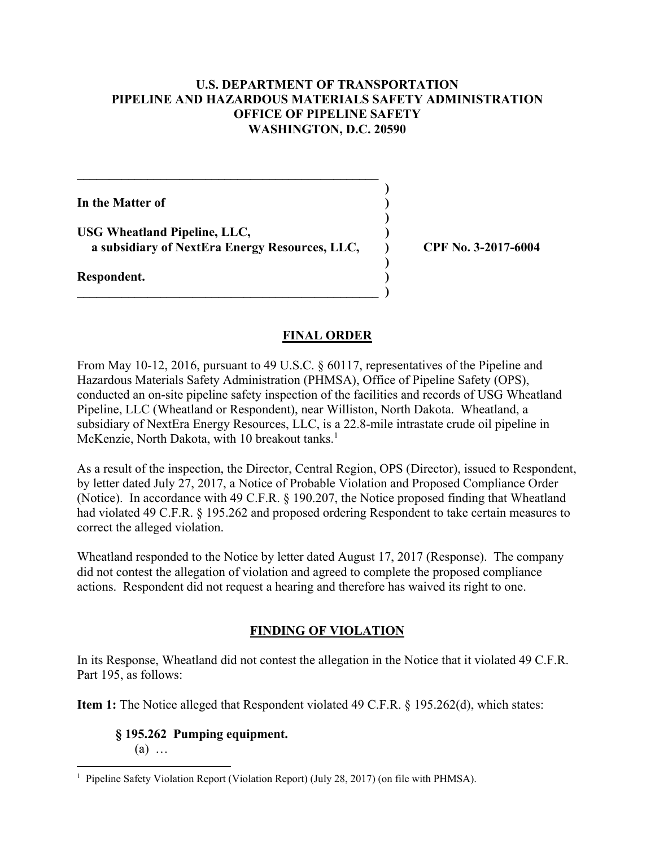### **U.S. DEPARTMENT OF TRANSPORTATION PIPELINE AND HAZARDOUS MATERIALS SAFETY ADMINISTRATION OFFICE OF PIPELINE SAFETY WASHINGTON, D.C. 20590**

**) ) ) ) ) ) ) )** 

**In the Matter of** 

**USG Wheatland Pipeline, LLC, a subsidiary of NextEra Energy Resources, LLC,** 

**\_\_\_\_\_\_\_\_\_\_\_\_\_\_\_\_\_\_\_\_\_\_\_\_\_\_\_\_\_\_\_\_\_\_\_\_\_\_\_\_\_\_\_\_\_\_\_** 

 $\mathcal{L} = \{ \mathcal{L} \}$ 

**Respondent.** 

**CPF No. 3-2017-6004**

### **FINAL ORDER**

From May 10-12, 2016, pursuant to 49 U.S.C. § 60117, representatives of the Pipeline and Hazardous Materials Safety Administration (PHMSA), Office of Pipeline Safety (OPS), conducted an on-site pipeline safety inspection of the facilities and records of USG Wheatland Pipeline, LLC (Wheatland or Respondent), near Williston, North Dakota. Wheatland, a subsidiary of NextEra Energy Resources, LLC, is a 22.8-mile intrastate crude oil pipeline in McKenzie, North Dakota, with 10 breakout tanks.<sup>1</sup>

As a result of the inspection, the Director, Central Region, OPS (Director), issued to Respondent, by letter dated July 27, 2017, a Notice of Probable Violation and Proposed Compliance Order (Notice). In accordance with 49 C.F.R. § 190.207, the Notice proposed finding that Wheatland had violated 49 C.F.R. § 195.262 and proposed ordering Respondent to take certain measures to correct the alleged violation.

Wheatland responded to the Notice by letter dated August 17, 2017 (Response). The company did not contest the allegation of violation and agreed to complete the proposed compliance actions. Respondent did not request a hearing and therefore has waived its right to one.

## **FINDING OF VIOLATION**

In its Response, Wheatland did not contest the allegation in the Notice that it violated 49 C.F.R. Part 195, as follows:

**Item 1:** The Notice alleged that Respondent violated 49 C.F.R. § 195.262(d), which states:

**§ 195.262 Pumping equipment.**  (a) …

 1 Pipeline Safety Violation Report (Violation Report) (July 28, 2017) (on file with PHMSA).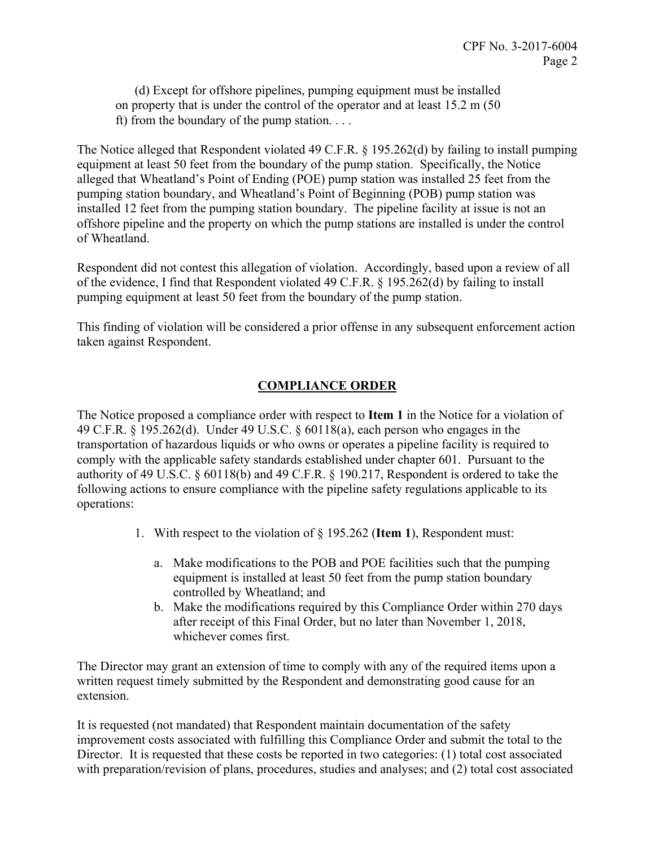(d) Except for offshore pipelines, pumping equipment must be installed on property that is under the control of the operator and at least 15.2 m (50 ft) from the boundary of the pump station. . . .

The Notice alleged that Respondent violated 49 C.F.R. § 195.262(d) by failing to install pumping equipment at least 50 feet from the boundary of the pump station. Specifically, the Notice alleged that Wheatland's Point of Ending (POE) pump station was installed 25 feet from the pumping station boundary, and Wheatland's Point of Beginning (POB) pump station was installed 12 feet from the pumping station boundary. The pipeline facility at issue is not an offshore pipeline and the property on which the pump stations are installed is under the control of Wheatland.

Respondent did not contest this allegation of violation. Accordingly, based upon a review of all of the evidence, I find that Respondent violated 49 C.F.R. § 195.262(d) by failing to install pumping equipment at least 50 feet from the boundary of the pump station.

This finding of violation will be considered a prior offense in any subsequent enforcement action taken against Respondent.

# **COMPLIANCE ORDER**

The Notice proposed a compliance order with respect to **Item 1** in the Notice for a violation of 49 C.F.R. § 195.262(d). Under 49 U.S.C. § 60118(a), each person who engages in the transportation of hazardous liquids or who owns or operates a pipeline facility is required to comply with the applicable safety standards established under chapter 601. Pursuant to the authority of 49 U.S.C. § 60118(b) and 49 C.F.R. § 190.217, Respondent is ordered to take the following actions to ensure compliance with the pipeline safety regulations applicable to its operations:

- 1. With respect to the violation of § 195.262 (**Item 1**), Respondent must:
	- a. Make modifications to the POB and POE facilities such that the pumping equipment is installed at least 50 feet from the pump station boundary controlled by Wheatland; and
	- b. Make the modifications required by this Compliance Order within 270 days after receipt of this Final Order, but no later than November 1, 2018, whichever comes first.

The Director may grant an extension of time to comply with any of the required items upon a written request timely submitted by the Respondent and demonstrating good cause for an extension.

It is requested (not mandated) that Respondent maintain documentation of the safety improvement costs associated with fulfilling this Compliance Order and submit the total to the Director. It is requested that these costs be reported in two categories: (1) total cost associated with preparation/revision of plans, procedures, studies and analyses; and (2) total cost associated